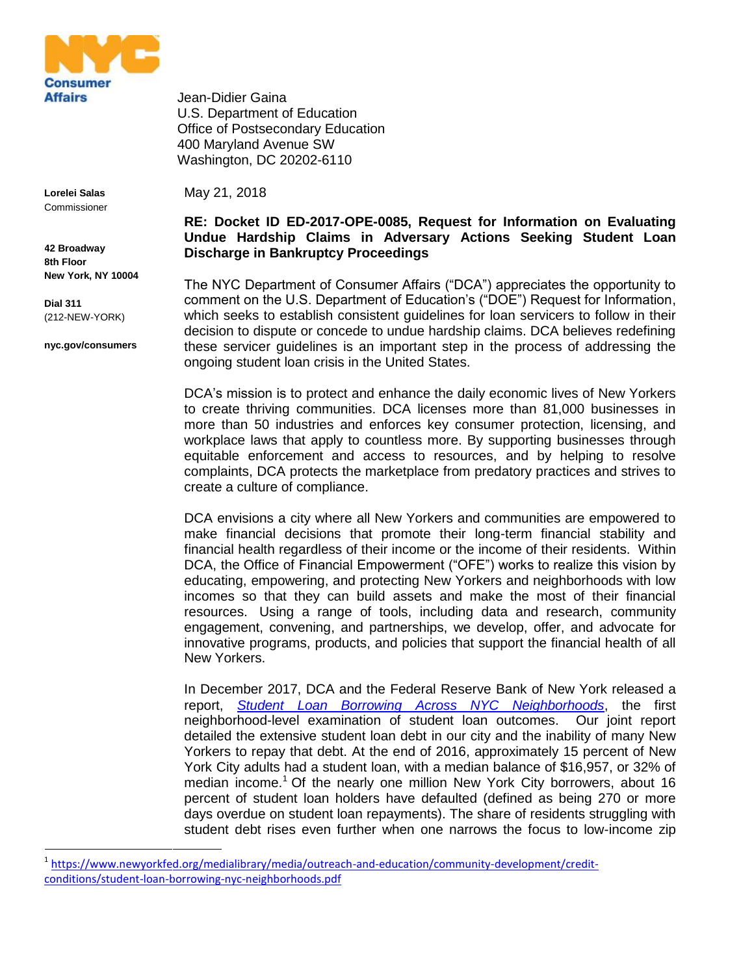

**Lorelei Salas** Commissioner

**42 Broadway 8th Floor New York, NY 10004**

**Dial 311** (212-NEW-YORK)

**nyc.gov/consumers**

1

Jean-Didier Gaina U.S. Department of Education Office of Postsecondary Education 400 Maryland Avenue SW Washington, DC 20202-6110

May 21, 2018

## **RE: Docket ID ED-2017-OPE-0085, Request for Information on Evaluating Undue Hardship Claims in Adversary Actions Seeking Student Loan Discharge in Bankruptcy Proceedings**

The NYC Department of Consumer Affairs ("DCA") appreciates the opportunity to comment on the U.S. Department of Education's ("DOE") Request for Information, which seeks to establish consistent guidelines for loan servicers to follow in their decision to dispute or concede to undue hardship claims. DCA believes redefining these servicer guidelines is an important step in the process of addressing the ongoing student loan crisis in the United States.

DCA's mission is to protect and enhance the daily economic lives of New Yorkers to create thriving communities. DCA licenses more than 81,000 businesses in more than 50 industries and enforces key consumer protection, licensing, and workplace laws that apply to countless more. By supporting businesses through equitable enforcement and access to resources, and by helping to resolve complaints, DCA protects the marketplace from predatory practices and strives to create a culture of compliance.

DCA envisions a city where all New Yorkers and communities are empowered to make financial decisions that promote their long-term financial stability and financial health regardless of their income or the income of their residents. Within DCA, the Office of Financial Empowerment ("OFE") works to realize this vision by educating, empowering, and protecting New Yorkers and neighborhoods with low incomes so that they can build assets and make the most of their financial resources. Using a range of tools, including data and research, community engagement, convening, and partnerships, we develop, offer, and advocate for innovative programs, products, and policies that support the financial health of all New Yorkers.

In December 2017, DCA and the Federal Reserve Bank of New York released a report, *[Student Loan Borrowing Across NYC Neighborhoods](https://www.newyorkfed.org/medialibrary/media/outreach-and-education/community-development/credit-conditions/student-loan-borrowing-nyc-neighborhoods.pdf)*, the first neighborhood-level examination of student loan outcomes. Our joint report detailed the extensive student loan debt in our city and the inability of many New Yorkers to repay that debt. At the end of 2016, approximately 15 percent of New York City adults had a student loan, with a median balance of \$16,957, or 32% of median income.<sup>1</sup> Of the nearly one million New York City borrowers, about 16 percent of student loan holders have defaulted (defined as being 270 or more days overdue on student loan repayments). The share of residents struggling with student debt rises even further when one narrows the focus to low-income zip

<sup>&</sup>lt;sup>1</sup> [https://www.newyorkfed.org/medialibrary/media/outreach-and-education/community-development/credit](https://www.newyorkfed.org/medialibrary/media/outreach-and-education/community-development/credit-conditions/student-loan-borrowing-nyc-neighborhoods.pdf)[conditions/student-loan-borrowing-nyc-neighborhoods.pdf](https://www.newyorkfed.org/medialibrary/media/outreach-and-education/community-development/credit-conditions/student-loan-borrowing-nyc-neighborhoods.pdf)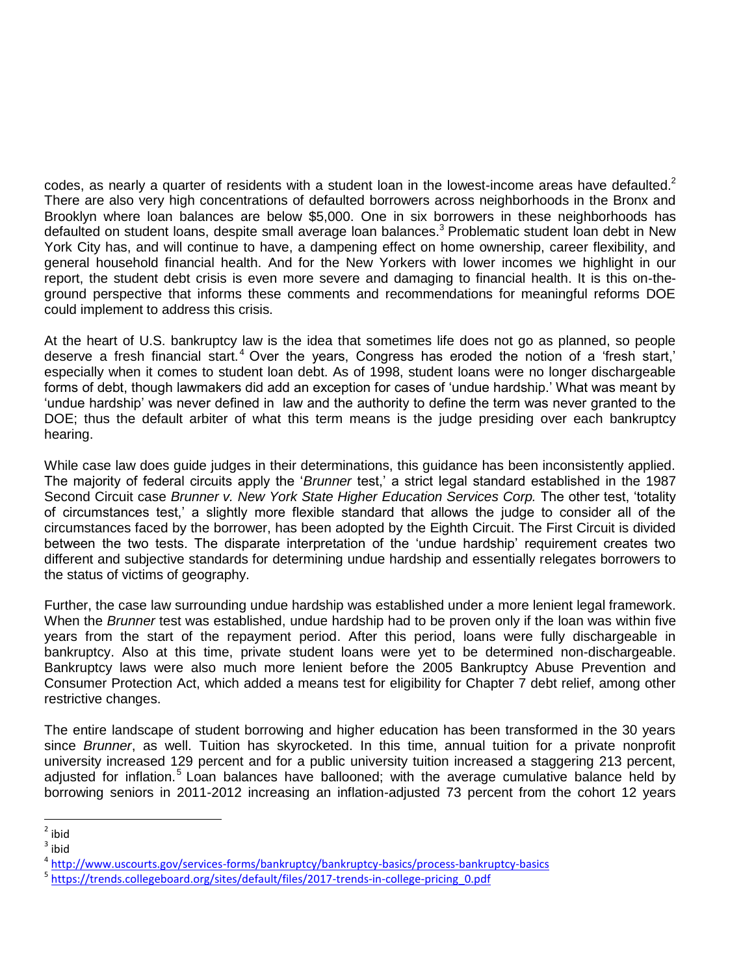codes, as nearly a quarter of residents with a student loan in the lowest-income areas have defaulted.<sup>2</sup> There are also very high concentrations of defaulted borrowers across neighborhoods in the Bronx and Brooklyn where loan balances are below \$5,000. One in six borrowers in these neighborhoods has defaulted on student loans, despite small average loan balances.<sup>3</sup> Problematic student loan debt in New York City has, and will continue to have, a dampening effect on home ownership, career flexibility, and general household financial health. And for the New Yorkers with lower incomes we highlight in our report, the student debt crisis is even more severe and damaging to financial health. It is this on-theground perspective that informs these comments and recommendations for meaningful reforms DOE could implement to address this crisis.

At the heart of U.S. bankruptcy law is the idea that sometimes life does not go as planned, so people deserve a fresh financial start.<sup>4</sup> Over the years, Congress has eroded the notion of a 'fresh start,' especially when it comes to student loan debt. As of 1998, student loans were no longer dischargeable forms of debt, though lawmakers did add an exception for cases of 'undue hardship.' What was meant by 'undue hardship' was never defined in law and the authority to define the term was never granted to the DOE; thus the default arbiter of what this term means is the judge presiding over each bankruptcy hearing.

While case law does guide judges in their determinations, this guidance has been inconsistently applied. The majority of federal circuits apply the '*Brunner* test,' a strict legal standard established in the 1987 Second Circuit case *Brunner v. New York State Higher Education Services Corp.* The other test, 'totality of circumstances test,' a slightly more flexible standard that allows the judge to consider all of the circumstances faced by the borrower, has been adopted by the Eighth Circuit. The First Circuit is divided between the two tests. The disparate interpretation of the 'undue hardship' requirement creates two different and subjective standards for determining undue hardship and essentially relegates borrowers to the status of victims of geography.

Further, the case law surrounding undue hardship was established under a more lenient legal framework. When the *Brunner* test was established, undue hardship had to be proven only if the loan was within five years from the start of the repayment period. After this period, loans were fully dischargeable in bankruptcy. Also at this time, private student loans were yet to be determined non-dischargeable. Bankruptcy laws were also much more lenient before the 2005 Bankruptcy Abuse Prevention and Consumer Protection Act, which added a means test for eligibility for Chapter 7 debt relief, among other restrictive changes.

The entire landscape of student borrowing and higher education has been transformed in the 30 years since *Brunner*, as well. Tuition has skyrocketed. In this time, annual tuition for a private nonprofit university increased 129 percent and for a public university tuition increased a staggering 213 percent, adjusted for inflation.<sup>5</sup> Loan balances have ballooned; with the average cumulative balance held by borrowing seniors in 2011-2012 increasing an inflation-adjusted 73 percent from the cohort 12 years

<sup>&</sup>lt;sup>2</sup> ibid

 $3$  ibid

<sup>4</sup> <http://www.uscourts.gov/services-forms/bankruptcy/bankruptcy-basics/process-bankruptcy-basics>

<sup>&</sup>lt;sup>5</sup> [https://trends.collegeboard.org/sites/default/files/2017-trends-in-college-pricing\\_0.pdf](https://trends.collegeboard.org/sites/default/files/2017-trends-in-college-pricing_0.pdf)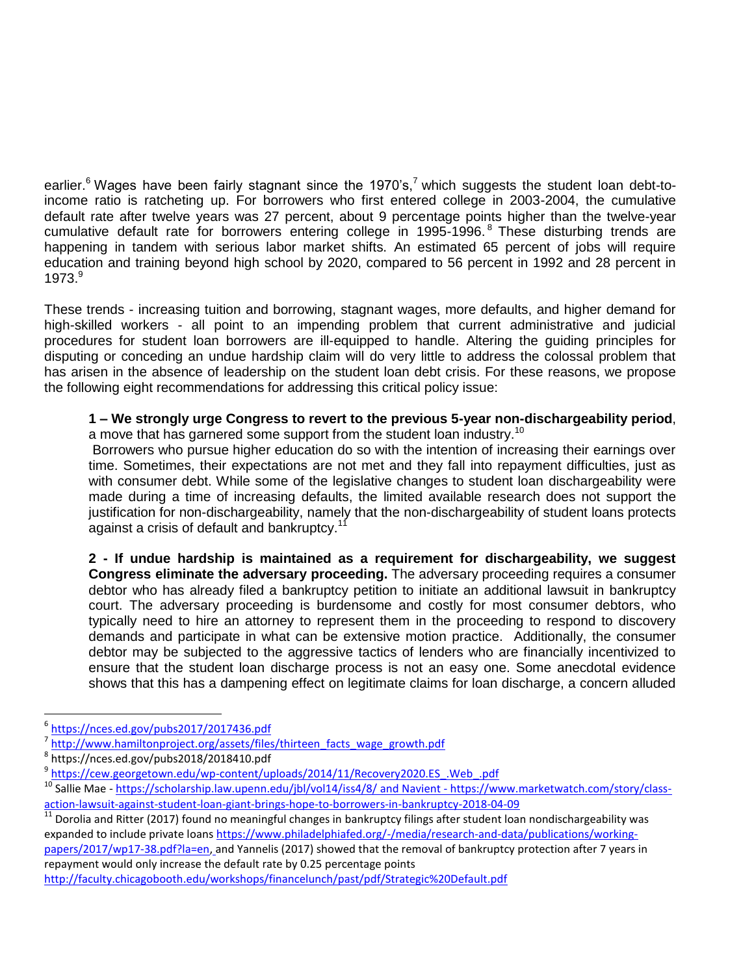earlier.<sup>6</sup> Wages have been fairly stagnant since the 1970's,<sup>7</sup> which suggests the student loan debt-toincome ratio is ratcheting up. For borrowers who first entered college in 2003-2004, the cumulative default rate after twelve years was 27 percent, about 9 percentage points higher than the twelve-year cumulative default rate for borrowers entering college in 1995-1996.<sup>8</sup> These disturbing trends are happening in tandem with serious labor market shifts. An estimated 65 percent of jobs will require education and training beyond high school by 2020, compared to 56 percent in 1992 and 28 percent in 1973.<sup>9</sup>

These trends - increasing tuition and borrowing, stagnant wages, more defaults, and higher demand for high-skilled workers - all point to an impending problem that current administrative and judicial procedures for student loan borrowers are ill-equipped to handle. Altering the guiding principles for disputing or conceding an undue hardship claim will do very little to address the colossal problem that has arisen in the absence of leadership on the student loan debt crisis. For these reasons, we propose the following eight recommendations for addressing this critical policy issue:

**1 – We strongly urge Congress to revert to the previous 5-year non-dischargeability period**, a move that has garnered some support from the student loan industry.<sup>10</sup>

Borrowers who pursue higher education do so with the intention of increasing their earnings over time. Sometimes, their expectations are not met and they fall into repayment difficulties, just as with consumer debt. While some of the legislative changes to student loan dischargeability were made during a time of increasing defaults, the limited available research does not support the justification for non-dischargeability, namely that the non-dischargeability of student loans protects against a crisis of default and bankruptcy.<sup>11</sup>

**2 - If undue hardship is maintained as a requirement for dischargeability, we suggest Congress eliminate the adversary proceeding.** The adversary proceeding requires a consumer debtor who has already filed a bankruptcy petition to initiate an additional lawsuit in bankruptcy court. The adversary proceeding is burdensome and costly for most consumer debtors, who typically need to hire an attorney to represent them in the proceeding to respond to discovery demands and participate in what can be extensive motion practice. Additionally, the consumer debtor may be subjected to the aggressive tactics of lenders who are financially incentivized to ensure that the student loan discharge process is not an easy one. Some anecdotal evidence shows that this has a dampening effect on legitimate claims for loan discharge, a concern alluded

 $\overline{a}$ 

repayment would only increase the default rate by 0.25 percentage points <http://faculty.chicagobooth.edu/workshops/financelunch/past/pdf/Strategic%20Default.pdf>

<sup>6</sup> <https://nces.ed.gov/pubs2017/2017436.pdf>

<sup>7</sup> [http://www.hamiltonproject.org/assets/files/thirteen\\_facts\\_wage\\_growth.pdf](http://www.hamiltonproject.org/assets/files/thirteen_facts_wage_growth.pdf)

<sup>8</sup> https://nces.ed.gov/pubs2018/2018410.pdf

<sup>&</sup>lt;sup>9</sup> https://cew.georgetown.edu/wp-content/uploads/2014/11/Recovery2020.ES .Web .pdf

<sup>&</sup>lt;sup>10</sup> Sallie Mae - <https://scholarship.law.upenn.edu/jbl/vol14/iss4/8/> and Navient - [https://www.marketwatch.com/story/class](https://www.marketwatch.com/story/class-action-lawsuit-against-student-loan-giant-brings-hope-to-borrowers-in-bankruptcy-2018-04-09)[action-lawsuit-against-student-loan-giant-brings-hope-to-borrowers-in-bankruptcy-2018-04-09](https://www.marketwatch.com/story/class-action-lawsuit-against-student-loan-giant-brings-hope-to-borrowers-in-bankruptcy-2018-04-09)

<sup>11</sup> Dorolia and Ritter (2017) found no meaningful changes in bankruptcy filings after student loan nondischargeability was expanded to include private loans [https://www.philadelphiafed.org/-/media/research-and-data/publications/working](https://www.philadelphiafed.org/-/media/research-and-data/publications/working-papers/2017/wp17-38.pdf?la=en)[papers/2017/wp17-38.pdf?la=en,](https://www.philadelphiafed.org/-/media/research-and-data/publications/working-papers/2017/wp17-38.pdf?la=en) and Yannelis (2017) showed that the removal of bankruptcy protection after 7 years in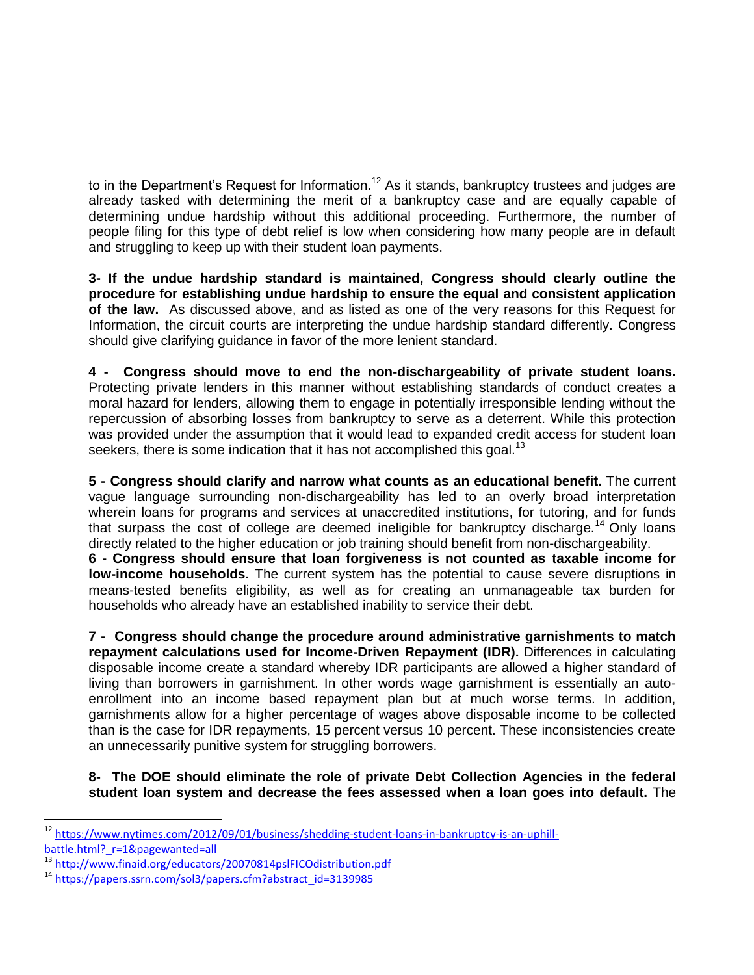to in the Department's Request for Information.<sup>12</sup> As it stands, bankruptcy trustees and judges are already tasked with determining the merit of a bankruptcy case and are equally capable of determining undue hardship without this additional proceeding. Furthermore, the number of people filing for this type of debt relief is low when considering how many people are in default and struggling to keep up with their student loan payments.

**3- If the undue hardship standard is maintained, Congress should clearly outline the procedure for establishing undue hardship to ensure the equal and consistent application of the law.** As discussed above, and as listed as one of the very reasons for this Request for Information, the circuit courts are interpreting the undue hardship standard differently. Congress should give clarifying guidance in favor of the more lenient standard.

**4 - Congress should move to end the non-dischargeability of private student loans.** Protecting private lenders in this manner without establishing standards of conduct creates a moral hazard for lenders, allowing them to engage in potentially irresponsible lending without the repercussion of absorbing losses from bankruptcy to serve as a deterrent. While this protection was provided under the assumption that it would lead to expanded credit access for student loan seekers, there is some indication that it has not accomplished this goal.<sup>13</sup>

**5 - Congress should clarify and narrow what counts as an educational benefit.** The current vague language surrounding non-dischargeability has led to an overly broad interpretation wherein loans for programs and services at unaccredited institutions, for tutoring, and for funds that surpass the cost of college are deemed ineligible for bankruptcy discharge.<sup>14</sup> Only loans directly related to the higher education or job training should benefit from non-dischargeability.

**6 - Congress should ensure that loan forgiveness is not counted as taxable income for low-income households.** The current system has the potential to cause severe disruptions in means-tested benefits eligibility, as well as for creating an unmanageable tax burden for households who already have an established inability to service their debt.

**7 - Congress should change the procedure around administrative garnishments to match repayment calculations used for Income-Driven Repayment (IDR).** Differences in calculating disposable income create a standard whereby IDR participants are allowed a higher standard of living than borrowers in garnishment. In other words wage garnishment is essentially an autoenrollment into an income based repayment plan but at much worse terms. In addition, garnishments allow for a higher percentage of wages above disposable income to be collected than is the case for IDR repayments, 15 percent versus 10 percent. These inconsistencies create an unnecessarily punitive system for struggling borrowers.

**8- The DOE should eliminate the role of private Debt Collection Agencies in the federal student loan system and decrease the fees assessed when a loan goes into default.** The

 $\overline{a}$ 

<sup>&</sup>lt;sup>12</sup> [https://www.nytimes.com/2012/09/01/business/shedding-student-loans-in-bankruptcy-is-an-uphill](https://www.nytimes.com/2012/09/01/business/shedding-student-loans-in-bankruptcy-is-an-uphill-battle.html?_r=1&pagewanted=all)[battle.html?\\_r=1&pagewanted=all](https://www.nytimes.com/2012/09/01/business/shedding-student-loans-in-bankruptcy-is-an-uphill-battle.html?_r=1&pagewanted=all)

<sup>13</sup> <http://www.finaid.org/educators/20070814pslFICOdistribution.pdf>

<sup>&</sup>lt;sup>14</sup> [https://papers.ssrn.com/sol3/papers.cfm?abstract\\_id=3139985](https://papers.ssrn.com/sol3/papers.cfm?abstract_id=3139985)